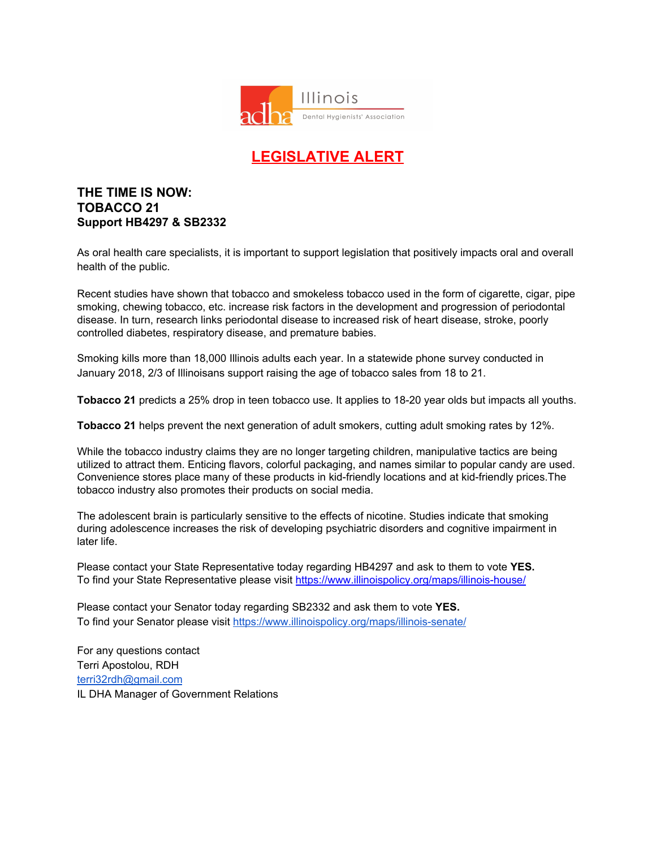

## **LEGISLATIVE ALERT**

## **THE TIME IS NOW: TOBACCO 21 Support HB4297 & SB2332**

As oral health care specialists, it is important to support legislation that positively impacts oral and overall health of the public.

Recent studies have shown that tobacco and smokeless tobacco used in the form of cigarette, cigar, pipe smoking, chewing tobacco, etc. increase risk factors in the development and progression of periodontal disease. In turn, research links periodontal disease to increased risk of heart disease, stroke, poorly controlled diabetes, respiratory disease, and premature babies.

Smoking kills more than 18,000 Illinois adults each year. In a statewide phone survey conducted in January 2018, 2/3 of Illinoisans support raising the age of tobacco sales from 18 to 21.

**Tobacco 21** predicts a 25% drop in teen tobacco use. It applies to 18-20 year olds but impacts all youths.

**Tobacco 21** helps prevent the next generation of adult smokers, cutting adult smoking rates by 12%.

While the tobacco industry claims they are no longer targeting children, manipulative tactics are being utilized to attract them. Enticing flavors, colorful packaging, and names similar to popular candy are used. Convenience stores place many of these products in kid-friendly locations and at kid-friendly prices.The tobacco industry also promotes their products on social media.

The adolescent brain is particularly sensitive to the effects of nicotine. Studies indicate that smoking during adolescence increases the risk of developing psychiatric disorders and cognitive impairment in later life.

Please contact your State Representative today regarding HB4297 and ask to them to vote **YES.** To find your State Representative please visit <https://www.illinoispolicy.org/maps/illinois-house/>

Please contact your Senator today regarding SB2332 and ask them to vote **YES.** To find your Senator please visit <https://www.illinoispolicy.org/maps/illinois-senate/>

For any questions contact Terri Apostolou, RDH [terri32rdh@gmail.com](mailto:terri32rdh@gmail.com) IL DHA Manager of Government Relations